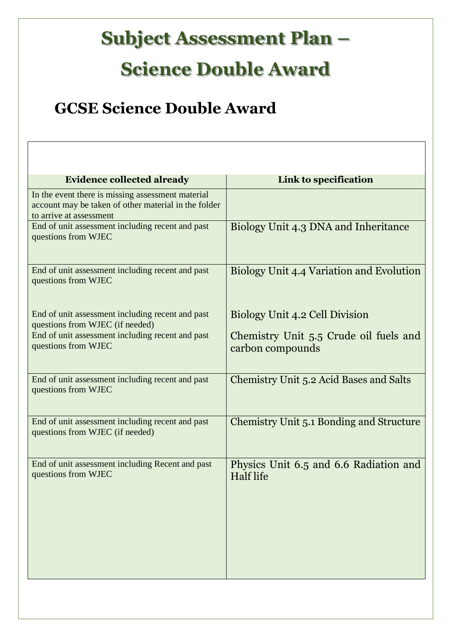## **Subject Assessment Plan –**

## **Science Double Award**

## **GCSE Science Double Award**

| <b>Evidence collected already</b>                                                                                                    | Link to specification                                      |
|--------------------------------------------------------------------------------------------------------------------------------------|------------------------------------------------------------|
| In the event there is missing assessment material<br>account may be taken of other material in the folder<br>to arrive at assessment |                                                            |
| End of unit assessment including recent and past<br>questions from WJEC                                                              | Biology Unit 4.3 DNA and Inheritance                       |
| End of unit assessment including recent and past<br>questions from WJEC                                                              | Biology Unit 4.4 Variation and Evolution                   |
| End of unit assessment including recent and past<br>questions from WJEC (if needed)                                                  | Biology Unit 4.2 Cell Division                             |
| End of unit assessment including recent and past<br>questions from WJEC                                                              | Chemistry Unit 5.5 Crude oil fuels and<br>carbon compounds |
| End of unit assessment including recent and past<br>questions from WJEC                                                              | <b>Chemistry Unit 5.2 Acid Bases and Salts</b>             |
| End of unit assessment including recent and past<br>questions from WJEC (if needed)                                                  | Chemistry Unit 5.1 Bonding and Structure                   |
| End of unit assessment including Recent and past<br>questions from WJEC                                                              | Physics Unit 6.5 and 6.6 Radiation and<br>Half life        |